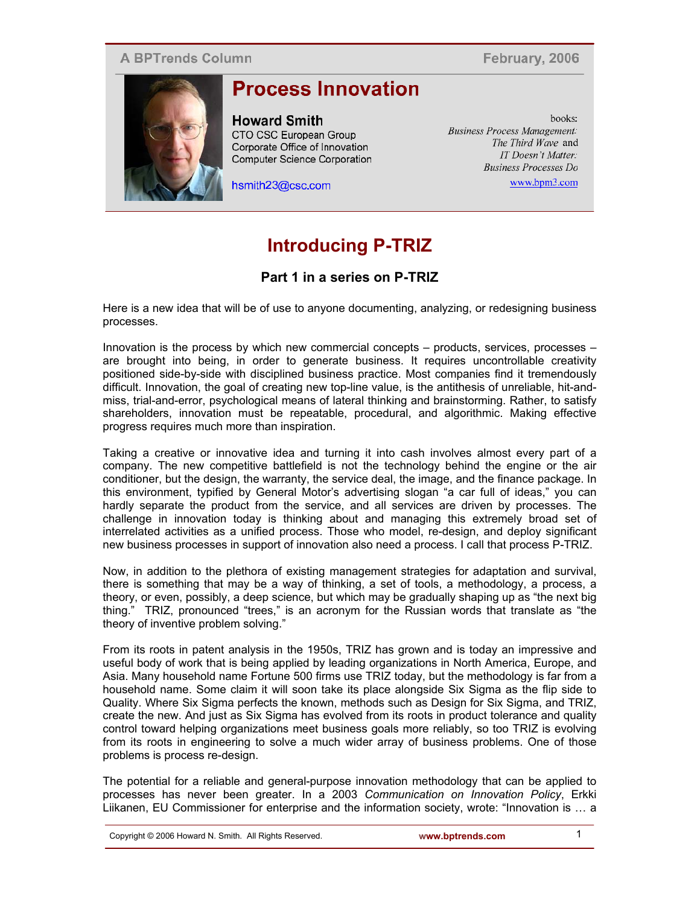#### **A BPTrends Column**

February, 2006



# **Process Innovation**

**Howard Smith** CTO CSC European Group Corporate Office of Innovation Computer Science Corporation

hsmith23@csc.com

hooks. **Business Process Management.** The Third Wave and IT Doesn't Matter. **Business Processes Do** www.bpm3.com

## **Introducing P-TRIZ**

### **Part 1 in a series on P-TRIZ**

Here is a new idea that will be of use to anyone documenting, analyzing, or redesigning business processes.

Innovation is the process by which new commercial concepts – products, services, processes – are brought into being, in order to generate business. It requires uncontrollable creativity positioned side-by-side with disciplined business practice. Most companies find it tremendously difficult. Innovation, the goal of creating new top-line value, is the antithesis of unreliable, hit-andmiss, trial-and-error, psychological means of lateral thinking and brainstorming. Rather, to satisfy shareholders, innovation must be repeatable, procedural, and algorithmic. Making effective progress requires much more than inspiration.

Taking a creative or innovative idea and turning it into cash involves almost every part of a company. The new competitive battlefield is not the technology behind the engine or the air conditioner, but the design, the warranty, the service deal, the image, and the finance package. In this environment, typified by General Motor's advertising slogan "a car full of ideas," you can hardly separate the product from the service, and all services are driven by processes. The challenge in innovation today is thinking about and managing this extremely broad set of interrelated activities as a unified process. Those who model, re-design, and deploy significant new business processes in support of innovation also need a process. I call that process P-TRIZ.

Now, in addition to the plethora of existing management strategies for adaptation and survival, there is something that may be a way of thinking, a set of tools, a methodology, a process, a theory, or even, possibly, a deep science, but which may be gradually shaping up as "the next big thing." TRIZ, pronounced "trees," is an acronym for the Russian words that translate as "the theory of inventive problem solving."

From its roots in patent analysis in the 1950s, TRIZ has grown and is today an impressive and useful body of work that is being applied by leading organizations in North America, Europe, and Asia. Many household name Fortune 500 firms use TRIZ today, but the methodology is far from a household name. Some claim it will soon take its place alongside Six Sigma as the flip side to Quality. Where Six Sigma perfects the known, methods such as Design for Six Sigma, and TRIZ, create the new. And just as Six Sigma has evolved from its roots in product tolerance and quality control toward helping organizations meet business goals more reliably, so too TRIZ is evolving from its roots in engineering to solve a much wider array of business problems. One of those problems is process re-design.

The potential for a reliable and general-purpose innovation methodology that can be applied to processes has never been greater. In a 2003 *Communication on Innovation Policy*, Erkki Liikanen, EU Commissioner for enterprise and the information society, wrote: "Innovation is … a